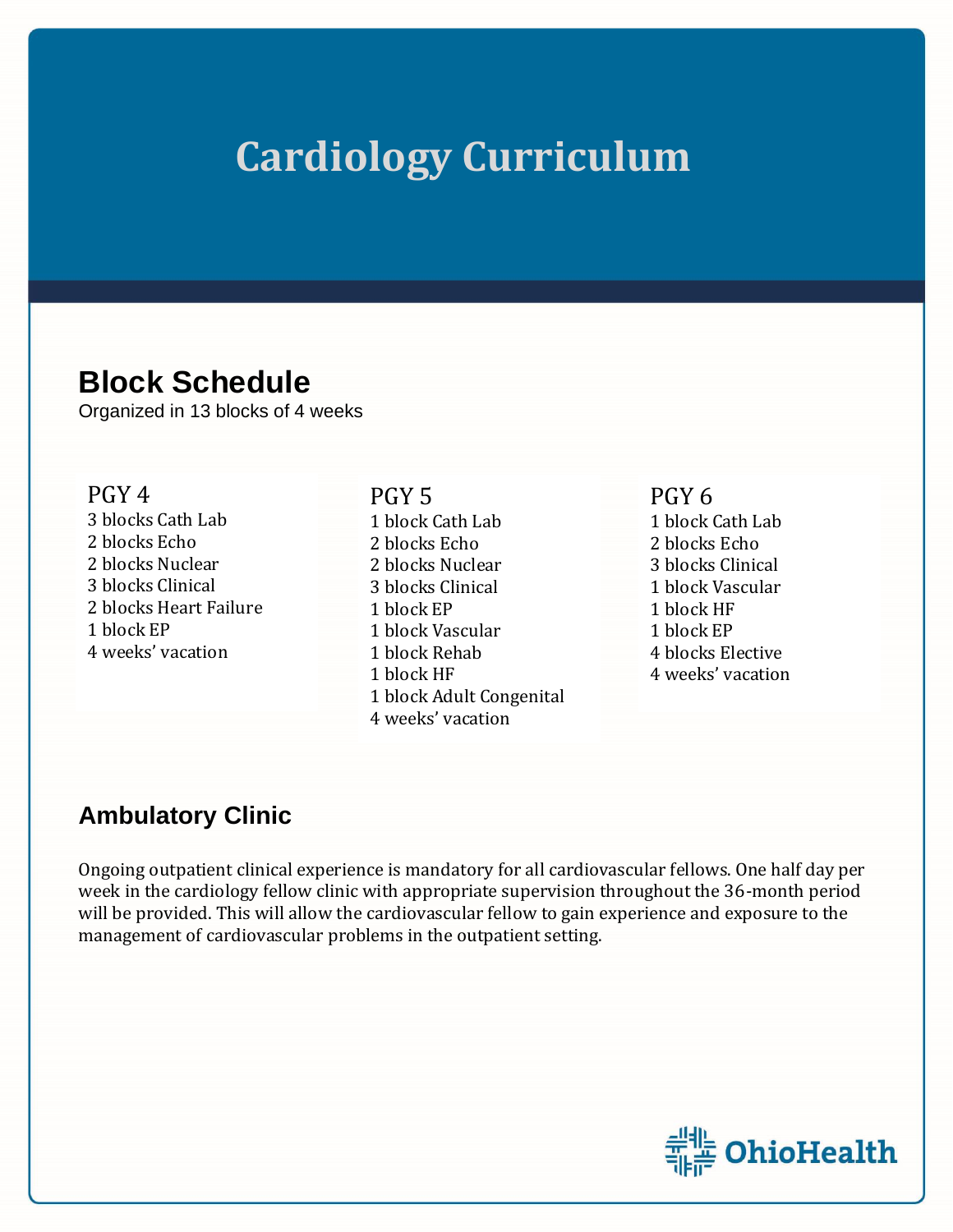# **Cardiology Curriculum**

## **Block Schedule**

Organized in 13 blocks of 4 weeks

#### PGY 4

3 blocks Cath Lab 2 blocks Echo 2 blocks Nuclear 3 blocks Clinical 2 blocks Heart Failure 1 block EP 4 weeks' vacation

#### PGY 5

1 block Cath Lab 2 blocks Echo 2 blocks Nuclear 3 blocks Clinical 1 block EP 1 block Vascular 1 block Rehab 1 block HF 1 block Adult Congenital 4 weeks' vacation

### PGY 6

1 block Cath Lab 2 blocks Echo 3 blocks Clinical 1 block Vascular 1 block HF 1 block EP 4 blocks Elective 4 weeks' vacation

### **Ambulatory Clinic**

Ongoing outpatient clinical experience is mandatory for all cardiovascular fellows. One half day per week in the cardiology fellow clinic with appropriate supervision throughout the 36-month period will be provided. This will allow the cardiovascular fellow to gain experience and exposure to the management of cardiovascular problems in the outpatient setting.